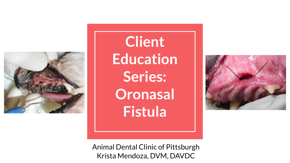

**Client Education Series: Oronasal Fistula**



Animal Dental Clinic of Pittsburgh Krista Mendoza, DVM, DAVDC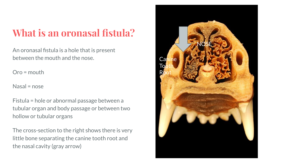# **What is an oronasal fistula?**

An oronasal fistula is a hole that is present between the mouth and the nose.

Oro = mouth

Nasal = nose

Fistula = hole or abnormal passage between a tubular organ and body passage or between two hollow or tubular organs

The cross-section to the right shows there is very little bone separating the canine tooth root and the nasal cavity (gray arrow)

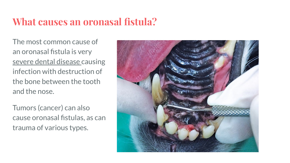#### **What causes an oronasal fistula?**

The most common cause of an oronasal fistula is very severe dental disease causing infection with destruction of the bone between the tooth and the nose.

Tumors (cancer) can also cause oronasal fistulas, as can trauma of various types.

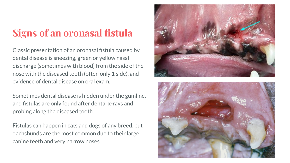## **Signs of an oronasal fistula**

Classic presentation of an oronasal fistula caused by dental disease is sneezing, green or yellow nasal discharge (sometimes with blood) from the side of the nose with the diseased tooth (often only 1 side), and evidence of dental disease on oral exam.

Sometimes dental disease is hidden under the gumline, and fistulas are only found after dental x-rays and probing along the diseased tooth.

Fistulas can happen in cats and dogs of any breed, but dachshunds are the most common due to their large canine teeth and very narrow noses.



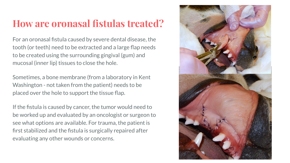#### **How are oronasal fistulas treated?**

For an oronasal fistula caused by severe dental disease, the tooth (or teeth) need to be extracted and a large flap needs to be created using the surrounding gingival (gum) and mucosal (inner lip) tissues to close the hole.

Sometimes, a bone membrane (from a laboratory in Kent Washington - not taken from the patient) needs to be placed over the hole to support the tissue flap.

If the fistula is caused by cancer, the tumor would need to be worked up and evaluated by an oncologist or surgeon to see what options are available. For trauma, the patient is first stabilized and the fistula is surgically repaired after evaluating any other wounds or concerns.